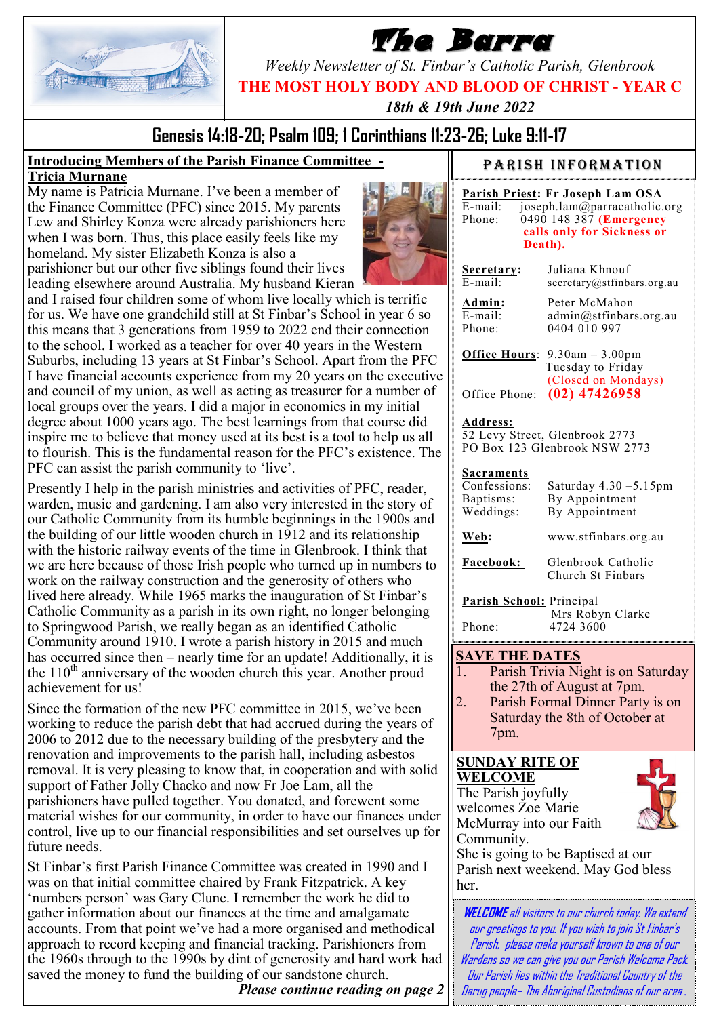

# **The Barra**

*Weekly Newsletter of St. Finbar's Catholic Parish, Glenbrook*

**THE MOST HOLY BODY AND BLOOD OF CHRIST - YEAR C**

*18th & 19th June 2022*

# **Genesis 14:18-20; Psalm 109; 1 Corinthians 11:23-26; Luke 9:11-17**

#### **Introducing Members of the Parish Finance Committee - Tricia Murnane**

My name is Patricia Murnane. I've been a member of the Finance Committee (PFC) since 2015. My parents Lew and Shirley Konza were already parishioners here when I was born. Thus, this place easily feels like my homeland. My sister Elizabeth Konza is also a parishioner but our other five siblings found their lives



Presently I help in the parish ministries and activities of PFC, reader, warden, music and gardening. I am also very interested in the story of our Catholic Community from its humble beginnings in the 1900s and the building of our little wooden church in 1912 and its relationship with the historic railway events of the time in Glenbrook. I think that we are here because of those Irish people who turned up in numbers to work on the railway construction and the generosity of others who lived here already. While 1965 marks the inauguration of St Finbar's Catholic Community as a parish in its own right, no longer belonging to Springwood Parish, we really began as an identified Catholic Community around 1910. I wrote a parish history in 2015 and much has occurred since then – nearly time for an update! Additionally, it is the  $110<sup>th</sup>$  anniversary of the wooden church this year. Another proud achievement for us!

Since the formation of the new PFC committee in 2015, we've been working to reduce the parish debt that had accrued during the years of 2006 to 2012 due to the necessary building of the presbytery and the renovation and improvements to the parish hall, including asbestos removal. It is very pleasing to know that, in cooperation and with solid support of Father Jolly Chacko and now Fr Joe Lam, all the parishioners have pulled together. You donated, and forewent some material wishes for our community, in order to have our finances under control, live up to our financial responsibilities and set ourselves up for future needs.

St Finbar's first Parish Finance Committee was created in 1990 and I was on that initial committee chaired by Frank Fitzpatrick. A key 'numbers person' was Gary Clune. I remember the work he did to gather information about our finances at the time and amalgamate accounts. From that point we've had a more organised and methodical approach to record keeping and financial tracking. Parishioners from the 1960s through to the 1990s by dint of generosity and hard work had saved the money to fund the building of our sandstone church.

*Please continue reading on page 2*

#### PARISH INFORMATION

|            | Parish Priest: Fr Joseph Lam OSA |
|------------|----------------------------------|
| $E$ -mail: | joseph.lam@parracatholic.org     |
| Phone:     | 0490 148 387 (Emergency          |
|            | calls only for Sickness or       |
|            | Death).                          |
|            |                                  |

**Secretary:** Juliana Khnouf<br>E-mail: secretary@stfinba secretary@stfinbars.org.au

**Admin:** Peter McMahon E-mail: admin@stfinbars.org.au Phone: 0404 010 997

**Office Hours**: 9.30am – 3.00pm Tuesday to Friday (Closed on Mondays) Office Phone: **(02) 47426958**

#### **Address:**

52 Levy Street, Glenbrook 2773 PO Box 123 Glenbrook NSW 2773

# **Sacraments**<br>Confessions:

**Web:** 

Saturday  $4.30 - 5.15$ pm Baptisms: By Appointment Weddings: By Appointment

| www.stfinbars.org.au |
|----------------------|
|----------------------|

**Facebook:** Glenbrook Catholic Church St Finbars

**Parish School:** Principal Mrs Robyn Clarke Phone: 4724 3600

#### **SAVE THE DATES**

- 1. Parish Trivia Night is on Saturday the 27th of August at 7pm.
- 2. Parish Formal Dinner Party is on Saturday the 8th of October at 7pm.

## **SUNDAY RITE OF WELCOME**

The Parish joyfully welcomes Zoe Marie McMurray into our Faith Community.



She is going to be Baptised at our Parish next weekend. May God bless her.

**WELCOME**all visitors to our church today. We extend our greetings to you. If you wish to join St Finbar's Parish, please make yourself known to one of our Wardens so we can give you our Parish Welcome Pack. Our Parish lies within the Traditional Country of the Darug people– The Aboriginal Custodians of our area *.*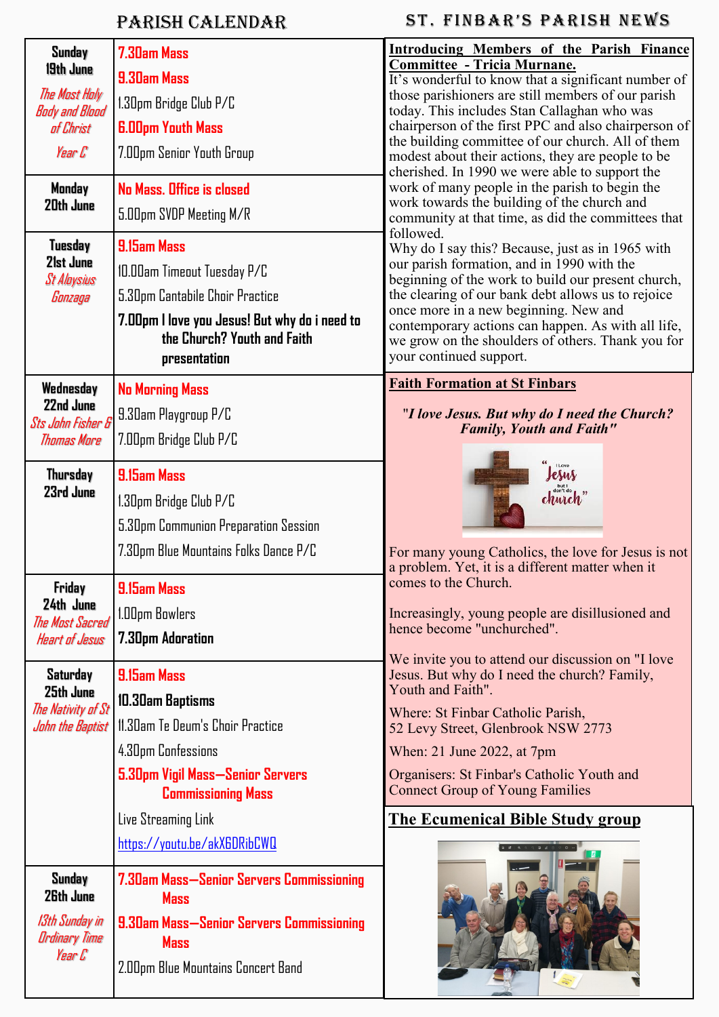# Parish Calendar

| Sunday<br>19th June<br>The Most Holy | 7.30am Mass<br>9.30am Mass                                    | <b>Introducing Members of the Parish Finance</b><br><b>Committee - Tricia Murnane.</b><br>It's wonderful to know that a significant number of<br>those parishioners are still members of our parish |  |  |
|--------------------------------------|---------------------------------------------------------------|-----------------------------------------------------------------------------------------------------------------------------------------------------------------------------------------------------|--|--|
| <b>Body and Blood</b>                | 1.30pm Bridge Club P/C                                        | today. This includes Stan Callaghan who was                                                                                                                                                         |  |  |
| of Christ                            | <b>6.00pm Youth Mass</b>                                      | chairperson of the first PPC and also chairperson of<br>the building committee of our church. All of them                                                                                           |  |  |
| Year C                               | 7.00pm Senior Youth Group                                     | modest about their actions, they are people to be                                                                                                                                                   |  |  |
| Monday                               | No Mass, Office is closed                                     | cherished. In 1990 we were able to support the<br>work of many people in the parish to begin the                                                                                                    |  |  |
| 20th June                            | 5.00pm SVDP Meeting M/R                                       | work towards the building of the church and<br>community at that time, as did the committees that<br>followed.<br>Why do I say this? Because, just as in 1965 with                                  |  |  |
| Tuesday                              | <b>9.15am Mass</b>                                            |                                                                                                                                                                                                     |  |  |
| 21st June<br><b>St Alaysius</b>      | 10.00am Timeout Tuesday P/C                                   | our parish formation, and in 1990 with the<br>beginning of the work to build our present church,                                                                                                    |  |  |
| Gonzaga                              | 5.30pm Cantabile Choir Practice                               | the clearing of our bank debt allows us to rejoice                                                                                                                                                  |  |  |
|                                      | 7.00pm I love you Jesus! But why do i need to                 | once more in a new beginning. New and<br>contemporary actions can happen. As with all life,                                                                                                         |  |  |
|                                      | the Church? Youth and Faith                                   | we grow on the shoulders of others. Thank you for<br>your continued support.                                                                                                                        |  |  |
|                                      | presentation                                                  |                                                                                                                                                                                                     |  |  |
| Wednesday<br>22nd June               | <b>No Morning Mass</b>                                        | <b>Faith Formation at St Finbars</b>                                                                                                                                                                |  |  |
| <b>Sts John Fisher &amp;</b>         | 9.30am Playgroup P/C                                          | "I love Jesus. But why do I need the Church?<br><b>Family, Youth and Faith"</b>                                                                                                                     |  |  |
| Thomas More                          | 7.00pm Bridge Club P/C                                        |                                                                                                                                                                                                     |  |  |
| <b>Thursday</b>                      | 9.15am Mass                                                   | <b>I Love</b><br>Jesus                                                                                                                                                                              |  |  |
| 23rd June                            | 1.30pm Bridge Club P/C                                        | church                                                                                                                                                                                              |  |  |
|                                      | 5.30pm Communion Preparation Session                          |                                                                                                                                                                                                     |  |  |
|                                      | 7.30pm Blue Mountains Folks Dance P/C                         | For many young Catholics, the love for Jesus is not                                                                                                                                                 |  |  |
| <b>Friday</b>                        | 9.15am Mass                                                   | a problem. Yet, it is a different matter when it<br>comes to the Church.                                                                                                                            |  |  |
| 24th June<br>The Most Sacred         | 1.00pm Bowlers                                                | Increasingly, young people are disillusioned and                                                                                                                                                    |  |  |
| <b>Heart of Jesus</b>                | <b>7.30pm Adoration</b>                                       | hence become "unchurched".                                                                                                                                                                          |  |  |
|                                      |                                                               | We invite you to attend our discussion on "I love"                                                                                                                                                  |  |  |
| Saturday<br>25th June                | 9.15am Mass                                                   | Jesus. But why do I need the church? Family,<br>Youth and Faith".<br>Where: St Finbar Catholic Parish,<br>52 Levy Street, Glenbrook NSW 2773                                                        |  |  |
| The Nativity of St                   | 10.30am Baptisms                                              |                                                                                                                                                                                                     |  |  |
| John the Baptist                     | 11.30am Te Deum's Choir Practice                              |                                                                                                                                                                                                     |  |  |
|                                      | 4.30pm Confessions                                            | When: 21 June 2022, at 7pm                                                                                                                                                                          |  |  |
|                                      | 5.30pm Vigil Mass—Senior Servers<br><b>Commissioning Mass</b> | Organisers: St Finbar's Catholic Youth and<br><b>Connect Group of Young Families</b>                                                                                                                |  |  |
|                                      | Live Streaming Link                                           | <b>The Ecumenical Bible Study group</b>                                                                                                                                                             |  |  |
|                                      | https://youtu.be/akX6DRibCWQ                                  |                                                                                                                                                                                                     |  |  |
| Sunday<br>26th June                  | 7.30am Mass—Senior Servers Commissioning<br><b>Mass</b>       |                                                                                                                                                                                                     |  |  |
| 13th Sunday in                       | 9.30am Mass—Senior Servers Commissioning                      |                                                                                                                                                                                                     |  |  |
| <b>Ordinary Time</b>                 | <b>Mass</b>                                                   |                                                                                                                                                                                                     |  |  |
| Year C                               | 2.00pm Blue Mountains Concert Band                            |                                                                                                                                                                                                     |  |  |

ST. FINBAR'S PARISH NEWS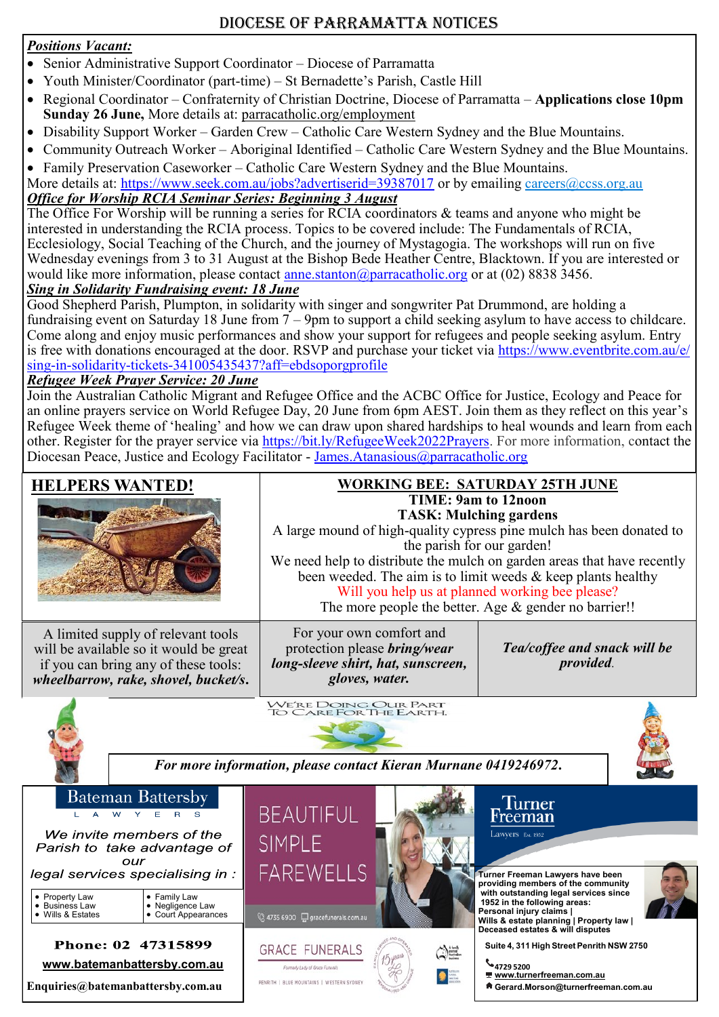## Diocese of Parramatta Notices

### *Positions Vacant:*

- Senior Administrative Support Coordinator Diocese of Parramatta
- Youth Minister/Coordinator (part-time) St Bernadette's Parish, Castle Hill
- Regional Coordinator Confraternity of Christian Doctrine, Diocese of Parramatta **Applications close 10pm Sunday 26 June,** More details at: [parracatholic.org/employment](http://parracatholic.org/employment)
- Disability Support Worker Garden Crew Catholic Care Western Sydney and the Blue Mountains.
- Community Outreach Worker Aboriginal Identified Catholic Care Western Sydney and the Blue Mountains. • Family Preservation Caseworker – Catholic Care Western Sydney and the Blue Mountains.

More details at: <https://www.seek.com.au/jobs?advertiserid=39387017> or by emailing [careers@ccss.org.au](mailto:careers@ccss.org.au) *Office for Worship RCIA Seminar Series: Beginning 3 August*

The Office For Worship will be running a series for RCIA coordinators & teams and anyone who might be interested in understanding the RCIA process. Topics to be covered include: The Fundamentals of RCIA, Ecclesiology, Social Teaching of the Church, and the journey of Mystagogia. The workshops will run on five Wednesday evenings from 3 to 31 August at the Bishop Bede Heather Centre, Blacktown. If you are interested or would like more information, please contact [anne.stanton@parracatholic.org](mailto:anne.stanton@parracatholic.org) or at  $(02)$  8838 3456.

#### *Sing in Solidarity Fundraising event: 18 June*

Good Shepherd Parish, Plumpton, in solidarity with singer and songwriter Pat Drummond, are holding a fundraising event on Saturday 18 June from  $7 - 9$ pm to support a child seeking asylum to have access to childcare. Come along and enjoy music performances and show your support for refugees and people seeking asylum. Entry is free with donations encouraged at the door. RSVP and purchase your ticket via [https://www.eventbrite.com.au/e/](https://www.eventbrite.com.au/e/sing-in-solidarity-tickets-341005435437?aff=ebdsoporgprofile) sing-in-solidarity-tickets-[341005435437?aff=ebdsoporgprofile](https://www.eventbrite.com.au/e/sing-in-solidarity-tickets-341005435437?aff=ebdsoporgprofile)

#### *Refugee Week Prayer Service: 20 June*

Join the Australian Catholic Migrant and Refugee Office and the ACBC Office for Justice, Ecology and Peace for an online prayers service on World Refugee Day, 20 June from 6pm AEST. Join them as they reflect on this year's Refugee Week theme of 'healing' and how we can draw upon shared hardships to heal wounds and learn from each other. Register for the prayer service via [https://bit.ly/RefugeeWeek2022Prayers.](https://bit.ly/RefugeeWeek2022Prayers) For more information, contact the Diocesan Peace, Justice and Ecology Facilitator - [James.Atanasious@parracatholic.org](mailto:James.Atanasious@parracatholic.org)